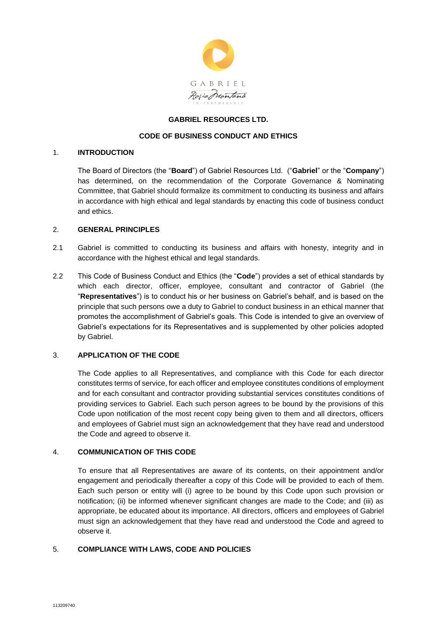

#### **GABRIEL RESOURCES LTD.**

## **CODE OF BUSINESS CONDUCT AND ETHICS**

#### 1. **INTRODUCTION**

The Board of Directors (the "**Board**") of Gabriel Resources Ltd. ("**Gabriel**" or the "**Company**") has determined, on the recommendation of the Corporate Governance & Nominating Committee, that Gabriel should formalize its commitment to conducting its business and affairs in accordance with high ethical and legal standards by enacting this code of business conduct and ethics.

#### 2. **GENERAL PRINCIPLES**

- 2.1 Gabriel is committed to conducting its business and affairs with honesty, integrity and in accordance with the highest ethical and legal standards.
- 2.2 This Code of Business Conduct and Ethics (the "**Code**") provides a set of ethical standards by which each director, officer, employee, consultant and contractor of Gabriel (the "**Representatives**") is to conduct his or her business on Gabriel's behalf, and is based on the principle that such persons owe a duty to Gabriel to conduct business in an ethical manner that promotes the accomplishment of Gabriel's goals. This Code is intended to give an overview of Gabriel's expectations for its Representatives and is supplemented by other policies adopted by Gabriel.

## 3. **APPLICATION OF THE CODE**

The Code applies to all Representatives, and compliance with this Code for each director constitutes terms of service, for each officer and employee constitutes conditions of employment and for each consultant and contractor providing substantial services constitutes conditions of providing services to Gabriel. Each such person agrees to be bound by the provisions of this Code upon notification of the most recent copy being given to them and all directors, officers and employees of Gabriel must sign an acknowledgement that they have read and understood the Code and agreed to observe it.

#### 4. **COMMUNICATION OF THIS CODE**

To ensure that all Representatives are aware of its contents, on their appointment and/or engagement and periodically thereafter a copy of this Code will be provided to each of them. Each such person or entity will (i) agree to be bound by this Code upon such provision or notification; (ii) be informed whenever significant changes are made to the Code; and (iii) as appropriate, be educated about its importance. All directors, officers and employees of Gabriel must sign an acknowledgement that they have read and understood the Code and agreed to observe it.

## 5. **COMPLIANCE WITH LAWS, CODE AND POLICIES**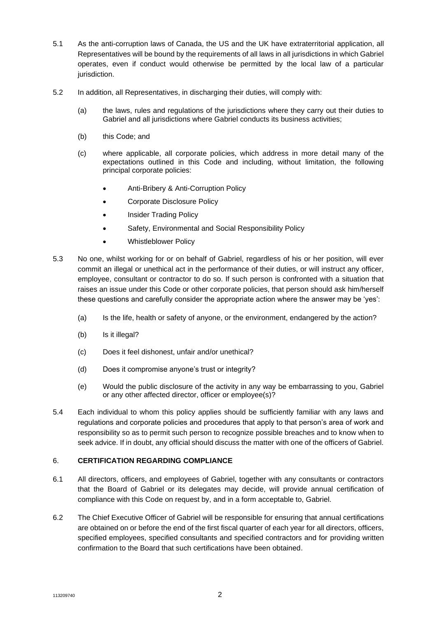- 5.1 As the anti-corruption laws of Canada, the US and the UK have extraterritorial application, all Representatives will be bound by the requirements of all laws in all jurisdictions in which Gabriel operates, even if conduct would otherwise be permitted by the local law of a particular jurisdiction.
- 5.2 In addition, all Representatives, in discharging their duties, will comply with:
	- (a) the laws, rules and regulations of the jurisdictions where they carry out their duties to Gabriel and all jurisdictions where Gabriel conducts its business activities;
	- (b) this Code; and
	- (c) where applicable, all corporate policies, which address in more detail many of the expectations outlined in this Code and including, without limitation, the following principal corporate policies:
		- Anti-Bribery & Anti-Corruption Policy
		- Corporate Disclosure Policy
		- Insider Trading Policy
		- Safety, Environmental and Social Responsibility Policy
		- Whistleblower Policy
- 5.3 No one, whilst working for or on behalf of Gabriel, regardless of his or her position, will ever commit an illegal or unethical act in the performance of their duties, or will instruct any officer, employee, consultant or contractor to do so. If such person is confronted with a situation that raises an issue under this Code or other corporate policies, that person should ask him/herself these questions and carefully consider the appropriate action where the answer may be 'yes':
	- (a) Is the life, health or safety of anyone, or the environment, endangered by the action?
	- (b) Is it illegal?
	- (c) Does it feel dishonest, unfair and/or unethical?
	- (d) Does it compromise anyone's trust or integrity?
	- (e) Would the public disclosure of the activity in any way be embarrassing to you, Gabriel or any other affected director, officer or employee(s)?
- 5.4 Each individual to whom this policy applies should be sufficiently familiar with any laws and regulations and corporate policies and procedures that apply to that person's area of work and responsibility so as to permit such person to recognize possible breaches and to know when to seek advice. If in doubt, any official should discuss the matter with one of the officers of Gabriel.

## 6. **CERTIFICATION REGARDING COMPLIANCE**

- 6.1 All directors, officers, and employees of Gabriel, together with any consultants or contractors that the Board of Gabriel or its delegates may decide, will provide annual certification of compliance with this Code on request by, and in a form acceptable to, Gabriel.
- 6.2 The Chief Executive Officer of Gabriel will be responsible for ensuring that annual certifications are obtained on or before the end of the first fiscal quarter of each year for all directors, officers, specified employees, specified consultants and specified contractors and for providing written confirmation to the Board that such certifications have been obtained.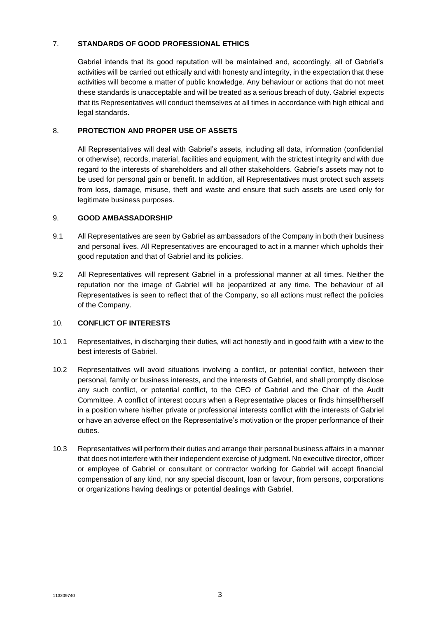# 7. **STANDARDS OF GOOD PROFESSIONAL ETHICS**

Gabriel intends that its good reputation will be maintained and, accordingly, all of Gabriel's activities will be carried out ethically and with honesty and integrity, in the expectation that these activities will become a matter of public knowledge. Any behaviour or actions that do not meet these standards is unacceptable and will be treated as a serious breach of duty. Gabriel expects that its Representatives will conduct themselves at all times in accordance with high ethical and legal standards.

# 8. **PROTECTION AND PROPER USE OF ASSETS**

All Representatives will deal with Gabriel's assets, including all data, information (confidential or otherwise), records, material, facilities and equipment, with the strictest integrity and with due regard to the interests of shareholders and all other stakeholders. Gabriel's assets may not to be used for personal gain or benefit. In addition, all Representatives must protect such assets from loss, damage, misuse, theft and waste and ensure that such assets are used only for legitimate business purposes.

## 9. **GOOD AMBASSADORSHIP**

- 9.1 All Representatives are seen by Gabriel as ambassadors of the Company in both their business and personal lives. All Representatives are encouraged to act in a manner which upholds their good reputation and that of Gabriel and its policies.
- 9.2 All Representatives will represent Gabriel in a professional manner at all times. Neither the reputation nor the image of Gabriel will be jeopardized at any time. The behaviour of all Representatives is seen to reflect that of the Company, so all actions must reflect the policies of the Company.

## 10. **CONFLICT OF INTERESTS**

- 10.1 Representatives, in discharging their duties, will act honestly and in good faith with a view to the best interests of Gabriel.
- 10.2 Representatives will avoid situations involving a conflict, or potential conflict, between their personal, family or business interests, and the interests of Gabriel, and shall promptly disclose any such conflict, or potential conflict, to the CEO of Gabriel and the Chair of the Audit Committee. A conflict of interest occurs when a Representative places or finds himself/herself in a position where his/her private or professional interests conflict with the interests of Gabriel or have an adverse effect on the Representative's motivation or the proper performance of their duties.
- 10.3 Representatives will perform their duties and arrange their personal business affairs in a manner that does not interfere with their independent exercise of judgment. No executive director, officer or employee of Gabriel or consultant or contractor working for Gabriel will accept financial compensation of any kind, nor any special discount, loan or favour, from persons, corporations or organizations having dealings or potential dealings with Gabriel.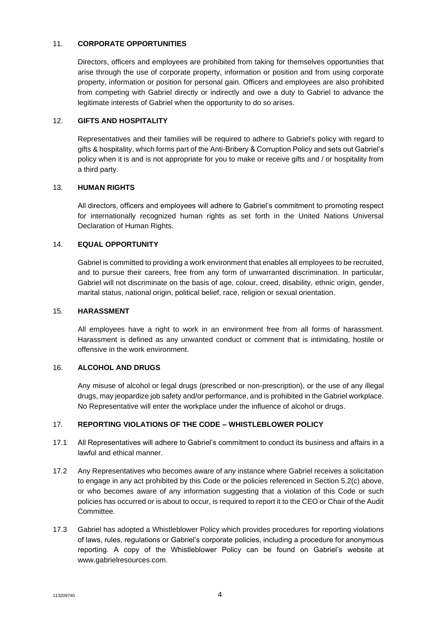## 11. **CORPORATE OPPORTUNITIES**

Directors, officers and employees are prohibited from taking for themselves opportunities that arise through the use of corporate property, information or position and from using corporate property, information or position for personal gain. Officers and employees are also prohibited from competing with Gabriel directly or indirectly and owe a duty to Gabriel to advance the legitimate interests of Gabriel when the opportunity to do so arises.

## 12. **GIFTS AND HOSPITALITY**

Representatives and their families will be required to adhere to Gabriel's policy with regard to gifts & hospitality, which forms part of the Anti-Bribery & Corruption Policy and sets out Gabriel's policy when it is and is not appropriate for you to make or receive gifts and / or hospitality from a third party.

#### 13. **HUMAN RIGHTS**

All directors, officers and employees will adhere to Gabriel's commitment to promoting respect for internationally recognized human rights as set forth in the United Nations Universal Declaration of Human Rights.

#### 14. **EQUAL OPPORTUNITY**

Gabriel is committed to providing a work environment that enables all employees to be recruited, and to pursue their careers, free from any form of unwarranted discrimination. In particular, Gabriel will not discriminate on the basis of age, colour, creed, disability, ethnic origin, gender, marital status, national origin, political belief, race, religion or sexual orientation.

#### 15. **HARASSMENT**

All employees have a right to work in an environment free from all forms of harassment. Harassment is defined as any unwanted conduct or comment that is intimidating, hostile or offensive in the work environment.

## 16. **ALCOHOL AND DRUGS**

Any misuse of alcohol or legal drugs (prescribed or non-prescription), or the use of any illegal drugs, may jeopardize job safety and/or performance, and is prohibited in the Gabriel workplace. No Representative will enter the workplace under the influence of alcohol or drugs.

## 17. **REPORTING VIOLATIONS OF THE CODE – WHISTLEBLOWER POLICY**

- 17.1 All Representatives will adhere to Gabriel's commitment to conduct its business and affairs in a lawful and ethical manner.
- 17.2 Any Representatives who becomes aware of any instance where Gabriel receives a solicitation to engage in any act prohibited by this Code or the policies referenced in Section 5.2(c) above, or who becomes aware of any information suggesting that a violation of this Code or such policies has occurred or is about to occur, is required to report it to the CEO or Chair of the Audit **Committee.**
- 17.3 Gabriel has adopted a Whistleblower Policy which provides procedures for reporting violations of laws, rules, regulations or Gabriel's corporate policies, including a procedure for anonymous reporting. A copy of the Whistleblower Policy can be found on Gabriel's website at www.gabrielresources.com.